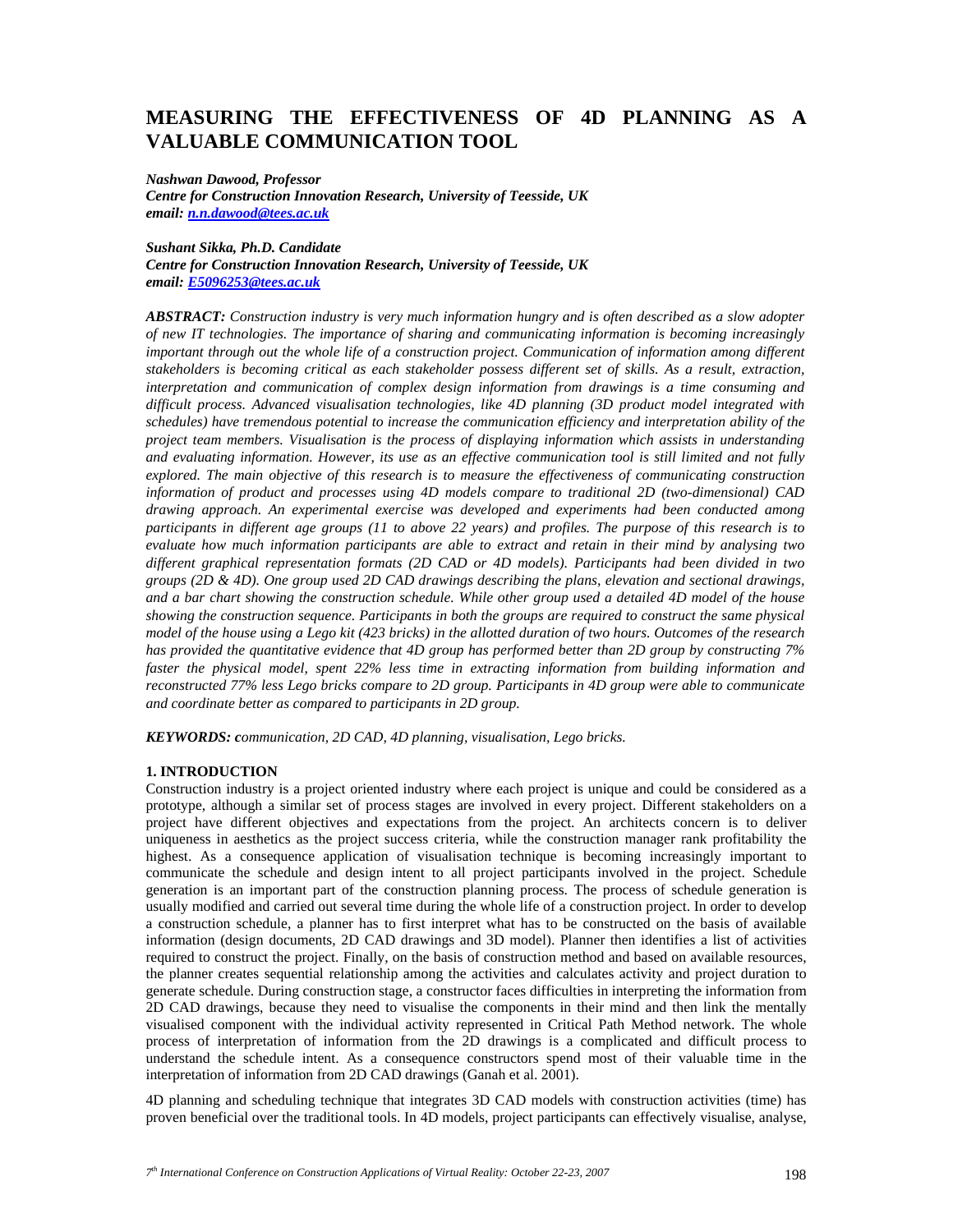# **MEASURING THE EFFECTIVENESS OF 4D PLANNING AS A VALUABLE COMMUNICATION TOOL**

*Nashwan Dawood, Professor Centre for Construction Innovation Research, University of Teesside, UK email: n.n.dawood@tees.ac.uk*

*Sushant Sikka, Ph.D. Candidate Centre for Construction Innovation Research, University of Teesside, UK email: E5096253@tees.ac.uk*

*ABSTRACT: Construction industry is very much information hungry and is often described as a slow adopter of new IT technologies. The importance of sharing and communicating information is becoming increasingly important through out the whole life of a construction project. Communication of information among different stakeholders is becoming critical as each stakeholder possess different set of skills. As a result, extraction, interpretation and communication of complex design information from drawings is a time consuming and difficult process. Advanced visualisation technologies, like 4D planning (3D product model integrated with schedules) have tremendous potential to increase the communication efficiency and interpretation ability of the project team members. Visualisation is the process of displaying information which assists in understanding and evaluating information. However, its use as an effective communication tool is still limited and not fully explored. The main objective of this research is to measure the effectiveness of communicating construction information of product and processes using 4D models compare to traditional 2D (two-dimensional) CAD drawing approach. An experimental exercise was developed and experiments had been conducted among participants in different age groups (11 to above 22 years) and profiles. The purpose of this research is to evaluate how much information participants are able to extract and retain in their mind by analysing two different graphical representation formats (2D CAD or 4D models). Participants had been divided in two groups (2D & 4D). One group used 2D CAD drawings describing the plans, elevation and sectional drawings, and a bar chart showing the construction schedule. While other group used a detailed 4D model of the house showing the construction sequence. Participants in both the groups are required to construct the same physical model of the house using a Lego kit (423 bricks) in the allotted duration of two hours. Outcomes of the research has provided the quantitative evidence that 4D group has performed better than 2D group by constructing 7% faster the physical model, spent 22% less time in extracting information from building information and reconstructed 77% less Lego bricks compare to 2D group. Participants in 4D group were able to communicate and coordinate better as compared to participants in 2D group.* 

*KEYWORDS: communication, 2D CAD, 4D planning, visualisation, Lego bricks.*

# **1. INTRODUCTION**

Construction industry is a project oriented industry where each project is unique and could be considered as a prototype, although a similar set of process stages are involved in every project. Different stakeholders on a project have different objectives and expectations from the project. An architects concern is to deliver uniqueness in aesthetics as the project success criteria, while the construction manager rank profitability the highest. As a consequence application of visualisation technique is becoming increasingly important to communicate the schedule and design intent to all project participants involved in the project. Schedule generation is an important part of the construction planning process. The process of schedule generation is usually modified and carried out several time during the whole life of a construction project. In order to develop a construction schedule, a planner has to first interpret what has to be constructed on the basis of available information (design documents, 2D CAD drawings and 3D model). Planner then identifies a list of activities required to construct the project. Finally, on the basis of construction method and based on available resources, the planner creates sequential relationship among the activities and calculates activity and project duration to generate schedule. During construction stage, a constructor faces difficulties in interpreting the information from 2D CAD drawings, because they need to visualise the components in their mind and then link the mentally visualised component with the individual activity represented in Critical Path Method network. The whole process of interpretation of information from the 2D drawings is a complicated and difficult process to understand the schedule intent. As a consequence constructors spend most of their valuable time in the interpretation of information from 2D CAD drawings (Ganah et al. 2001).

4D planning and scheduling technique that integrates 3D CAD models with construction activities (time) has proven beneficial over the traditional tools. In 4D models, project participants can effectively visualise, analyse,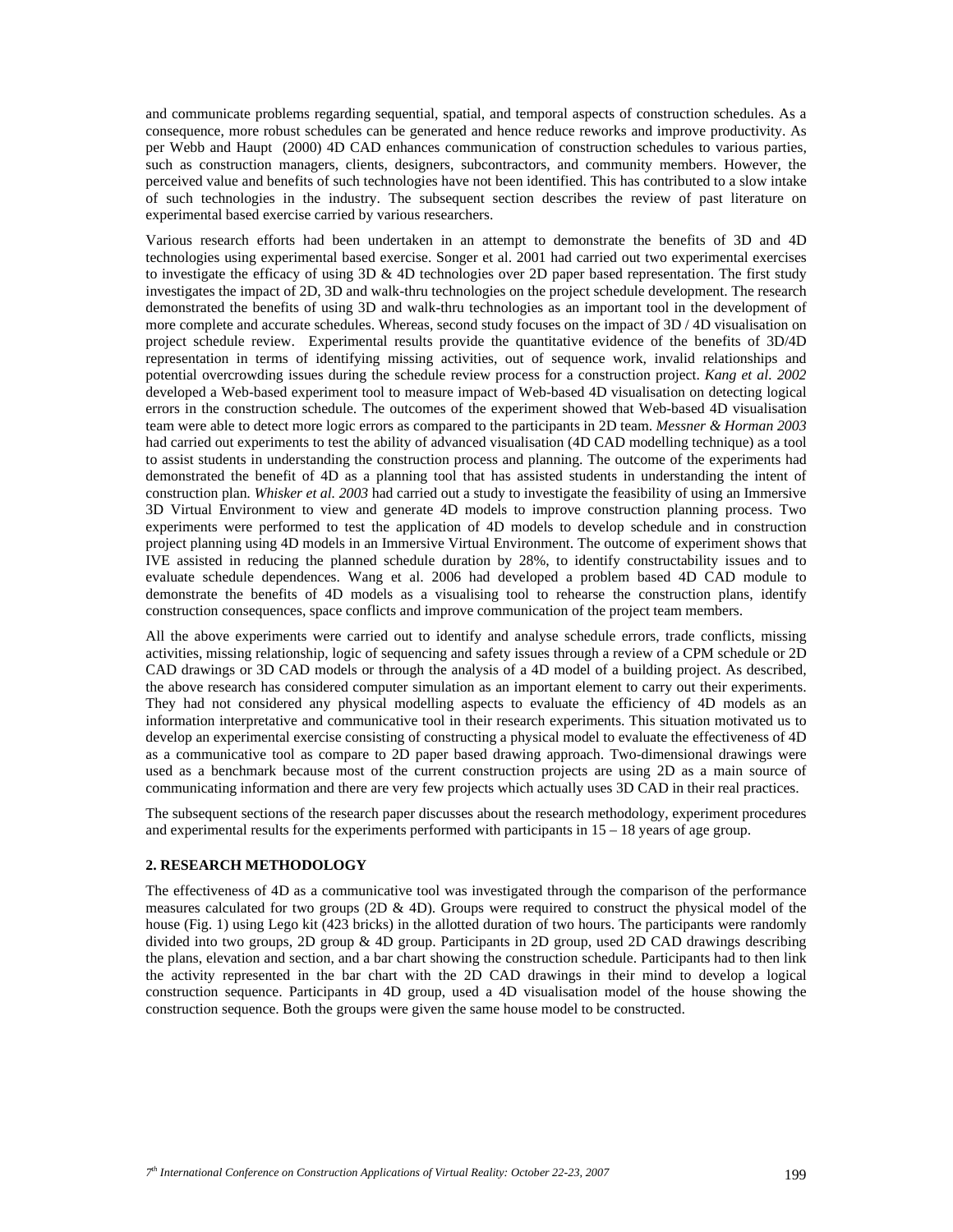and communicate problems regarding sequential, spatial, and temporal aspects of construction schedules. As a consequence, more robust schedules can be generated and hence reduce reworks and improve productivity. As per Webb and Haupt (2000) 4D CAD enhances communication of construction schedules to various parties, such as construction managers, clients, designers, subcontractors, and community members. However, the perceived value and benefits of such technologies have not been identified. This has contributed to a slow intake of such technologies in the industry. The subsequent section describes the review of past literature on experimental based exercise carried by various researchers.

Various research efforts had been undertaken in an attempt to demonstrate the benefits of 3D and 4D technologies using experimental based exercise. Songer et al. 2001 had carried out two experimental exercises to investigate the efficacy of using 3D & 4D technologies over 2D paper based representation. The first study investigates the impact of 2D, 3D and walk-thru technologies on the project schedule development. The research demonstrated the benefits of using 3D and walk-thru technologies as an important tool in the development of more complete and accurate schedules. Whereas, second study focuses on the impact of 3D / 4D visualisation on project schedule review. Experimental results provide the quantitative evidence of the benefits of 3D/4D representation in terms of identifying missing activities, out of sequence work, invalid relationships and potential overcrowding issues during the schedule review process for a construction project. *Kang et al. 2002* developed a Web-based experiment tool to measure impact of Web-based 4D visualisation on detecting logical errors in the construction schedule. The outcomes of the experiment showed that Web-based 4D visualisation team were able to detect more logic errors as compared to the participants in 2D team. *Messner & Horman 2003* had carried out experiments to test the ability of advanced visualisation (4D CAD modelling technique) as a tool to assist students in understanding the construction process and planning. The outcome of the experiments had demonstrated the benefit of 4D as a planning tool that has assisted students in understanding the intent of construction plan*. Whisker et al. 2003* had carried out a study to investigate the feasibility of using an Immersive 3D Virtual Environment to view and generate 4D models to improve construction planning process. Two experiments were performed to test the application of 4D models to develop schedule and in construction project planning using 4D models in an Immersive Virtual Environment. The outcome of experiment shows that IVE assisted in reducing the planned schedule duration by 28%, to identify constructability issues and to evaluate schedule dependences. Wang et al. 2006 had developed a problem based 4D CAD module to demonstrate the benefits of 4D models as a visualising tool to rehearse the construction plans, identify construction consequences, space conflicts and improve communication of the project team members.

All the above experiments were carried out to identify and analyse schedule errors, trade conflicts, missing activities, missing relationship, logic of sequencing and safety issues through a review of a CPM schedule or 2D CAD drawings or 3D CAD models or through the analysis of a 4D model of a building project. As described, the above research has considered computer simulation as an important element to carry out their experiments. They had not considered any physical modelling aspects to evaluate the efficiency of 4D models as an information interpretative and communicative tool in their research experiments. This situation motivated us to develop an experimental exercise consisting of constructing a physical model to evaluate the effectiveness of 4D as a communicative tool as compare to 2D paper based drawing approach. Two-dimensional drawings were used as a benchmark because most of the current construction projects are using 2D as a main source of communicating information and there are very few projects which actually uses 3D CAD in their real practices.

The subsequent sections of the research paper discusses about the research methodology, experiment procedures and experimental results for the experiments performed with participants in  $15 - 18$  years of age group.

#### **2. RESEARCH METHODOLOGY**

The effectiveness of 4D as a communicative tool was investigated through the comparison of the performance measures calculated for two groups (2D  $\&$  4D). Groups were required to construct the physical model of the house (Fig. 1) using Lego kit (423 bricks) in the allotted duration of two hours. The participants were randomly divided into two groups, 2D group & 4D group. Participants in 2D group, used 2D CAD drawings describing the plans, elevation and section, and a bar chart showing the construction schedule. Participants had to then link the activity represented in the bar chart with the 2D CAD drawings in their mind to develop a logical construction sequence. Participants in 4D group, used a 4D visualisation model of the house showing the construction sequence. Both the groups were given the same house model to be constructed.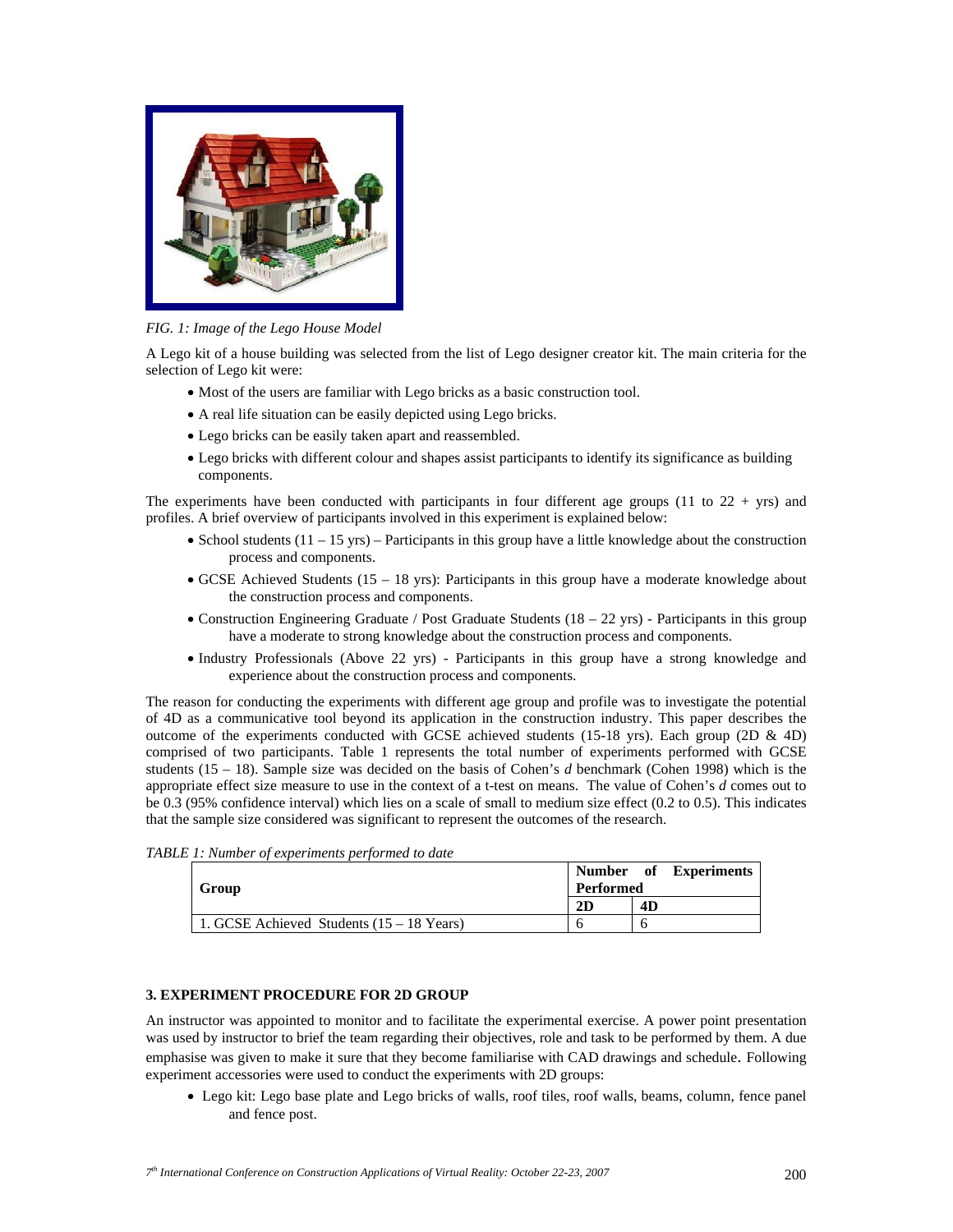

*FIG. 1: Image of the Lego House Model* 

A Lego kit of a house building was selected from the list of Lego designer creator kit. The main criteria for the selection of Lego kit were:

- Most of the users are familiar with Lego bricks as a basic construction tool.
- A real life situation can be easily depicted using Lego bricks.
- Lego bricks can be easily taken apart and reassembled.
- Lego bricks with different colour and shapes assist participants to identify its significance as building components.

The experiments have been conducted with participants in four different age groups  $(11 \text{ to } 22 + \text{yrs})$  and profiles. A brief overview of participants involved in this experiment is explained below:

- School students  $(11 15 \text{ yrs})$  Participants in this group have a little knowledge about the construction process and components.
- GCSE Achieved Students (15 18 yrs): Participants in this group have a moderate knowledge about the construction process and components.
- Construction Engineering Graduate / Post Graduate Students (18 22 yrs) Participants in this group have a moderate to strong knowledge about the construction process and components.
- Industry Professionals (Above 22 yrs) Participants in this group have a strong knowledge and experience about the construction process and components.

The reason for conducting the experiments with different age group and profile was to investigate the potential of 4D as a communicative tool beyond its application in the construction industry. This paper describes the outcome of the experiments conducted with GCSE achieved students (15-18 yrs). Each group (2D  $\&$  4D) comprised of two participants. Table 1 represents the total number of experiments performed with GCSE students (15 – 18). Sample size was decided on the basis of Cohen's *d* benchmark (Cohen 1998) which is the appropriate effect size measure to use in the context of a t-test on means. The value of Cohen's *d* comes out to be 0.3 (95% confidence interval) which lies on a scale of small to medium size effect (0.2 to 0.5). This indicates that the sample size considered was significant to represent the outcomes of the research.

| Group                                       | Number of Experiments<br>Performed |    |
|---------------------------------------------|------------------------------------|----|
|                                             | 2D                                 | 4D |
| 1. GCSE Achieved Students $(15 - 18$ Years) |                                    |    |

*TABLE 1: Number of experiments performed to date* 

# **3. EXPERIMENT PROCEDURE FOR 2D GROUP**

An instructor was appointed to monitor and to facilitate the experimental exercise. A power point presentation was used by instructor to brief the team regarding their objectives, role and task to be performed by them. A due emphasise was given to make it sure that they become familiarise with CAD drawings and schedule. Following experiment accessories were used to conduct the experiments with 2D groups:

• Lego kit: Lego base plate and Lego bricks of walls, roof tiles, roof walls, beams, column, fence panel and fence post.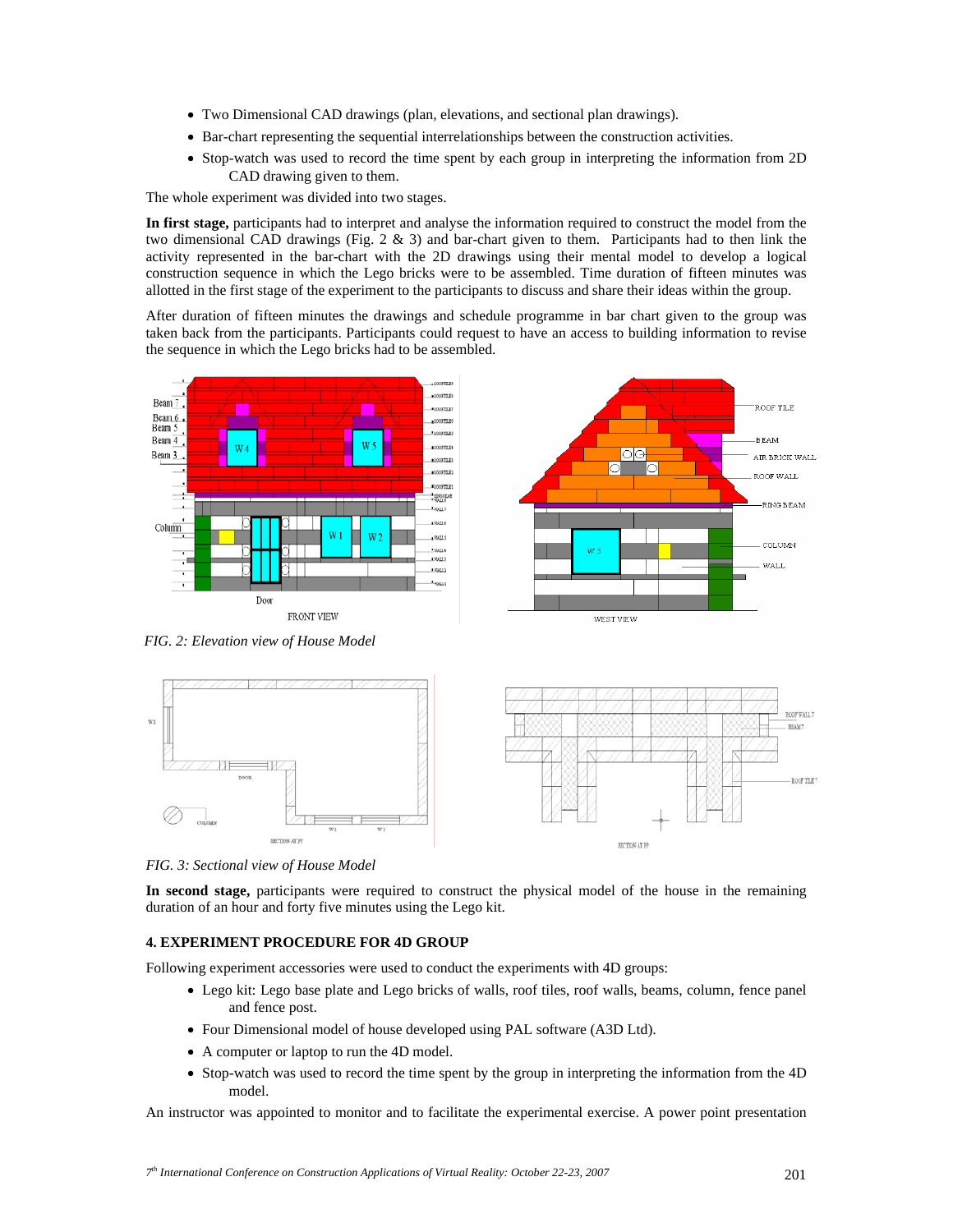- Two Dimensional CAD drawings (plan, elevations, and sectional plan drawings).
- Bar-chart representing the sequential interrelationships between the construction activities.
- Stop-watch was used to record the time spent by each group in interpreting the information from 2D CAD drawing given to them.

The whole experiment was divided into two stages.

**In first stage,** participants had to interpret and analyse the information required to construct the model from the two dimensional CAD drawings (Fig. 2 & 3) and bar-chart given to them. Participants had to then link the activity represented in the bar-chart with the 2D drawings using their mental model to develop a logical construction sequence in which the Lego bricks were to be assembled. Time duration of fifteen minutes was allotted in the first stage of the experiment to the participants to discuss and share their ideas within the group.

After duration of fifteen minutes the drawings and schedule programme in bar chart given to the group was taken back from the participants. Participants could request to have an access to building information to revise the sequence in which the Lego bricks had to be assembled.



*FIG. 2: Elevation view of House Model* 



*FIG. 3: Sectional view of House Model* 

**In second stage,** participants were required to construct the physical model of the house in the remaining duration of an hour and forty five minutes using the Lego kit.

# **4. EXPERIMENT PROCEDURE FOR 4D GROUP**

Following experiment accessories were used to conduct the experiments with 4D groups:

- Lego kit: Lego base plate and Lego bricks of walls, roof tiles, roof walls, beams, column, fence panel and fence post.
- Four Dimensional model of house developed using PAL software (A3D Ltd).
- A computer or laptop to run the 4D model.
- Stop-watch was used to record the time spent by the group in interpreting the information from the 4D model.

An instructor was appointed to monitor and to facilitate the experimental exercise. A power point presentation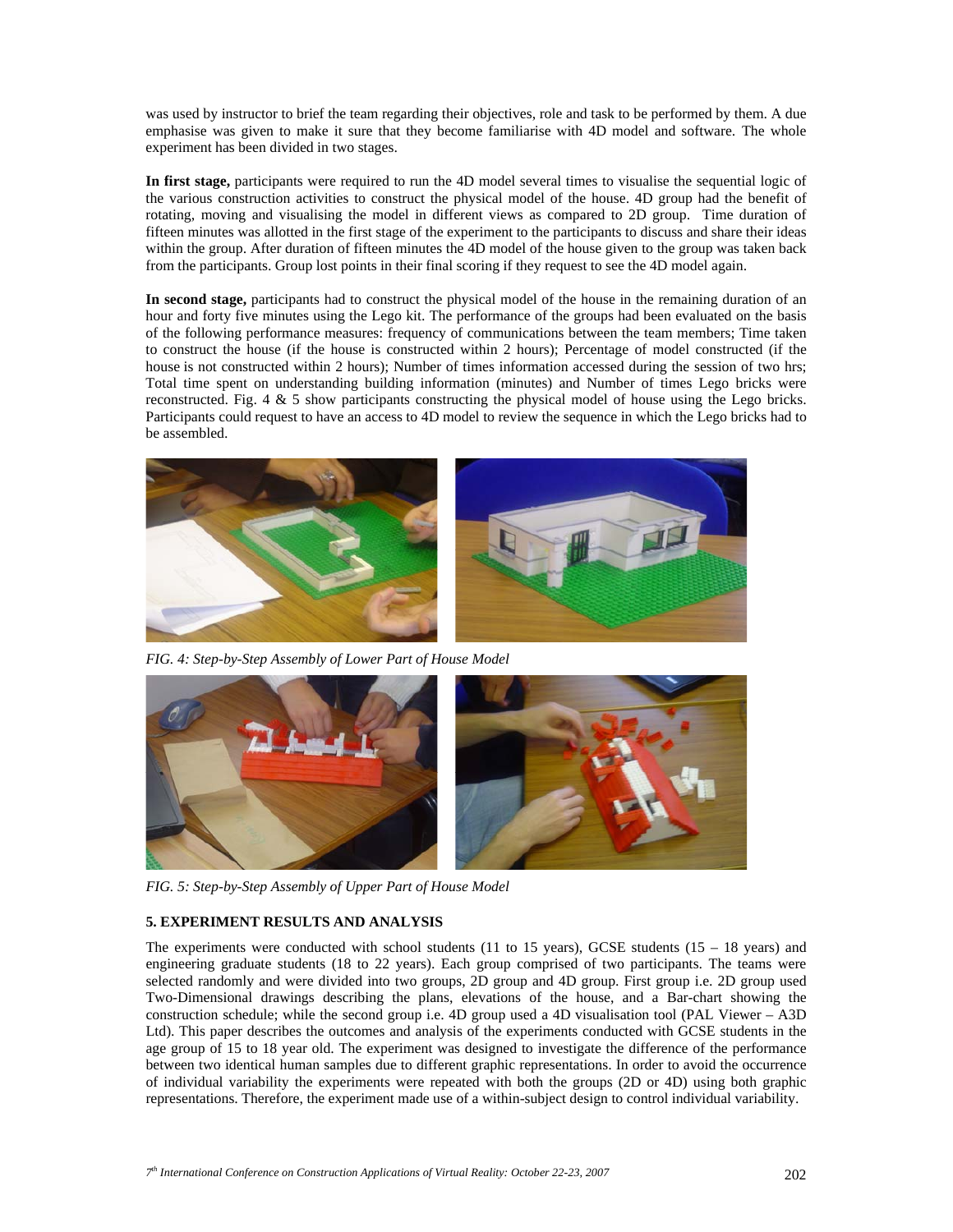was used by instructor to brief the team regarding their objectives, role and task to be performed by them. A due emphasise was given to make it sure that they become familiarise with 4D model and software. The whole experiment has been divided in two stages.

**In first stage,** participants were required to run the 4D model several times to visualise the sequential logic of the various construction activities to construct the physical model of the house. 4D group had the benefit of rotating, moving and visualising the model in different views as compared to 2D group. Time duration of fifteen minutes was allotted in the first stage of the experiment to the participants to discuss and share their ideas within the group. After duration of fifteen minutes the 4D model of the house given to the group was taken back from the participants. Group lost points in their final scoring if they request to see the 4D model again.

**In second stage,** participants had to construct the physical model of the house in the remaining duration of an hour and forty five minutes using the Lego kit. The performance of the groups had been evaluated on the basis of the following performance measures: frequency of communications between the team members; Time taken to construct the house (if the house is constructed within 2 hours); Percentage of model constructed (if the house is not constructed within 2 hours); Number of times information accessed during the session of two hrs; Total time spent on understanding building information (minutes) and Number of times Lego bricks were reconstructed. Fig. 4 & 5 show participants constructing the physical model of house using the Lego bricks. Participants could request to have an access to 4D model to review the sequence in which the Lego bricks had to be assembled.



*FIG. 4: Step-by-Step Assembly of Lower Part of House Model* 



*FIG. 5: Step-by-Step Assembly of Upper Part of House Model* 

# **5. EXPERIMENT RESULTS AND ANALYSIS**

The experiments were conducted with school students (11 to 15 years), GCSE students (15 – 18 years) and engineering graduate students (18 to 22 years). Each group comprised of two participants. The teams were selected randomly and were divided into two groups, 2D group and 4D group. First group i.e. 2D group used Two-Dimensional drawings describing the plans, elevations of the house, and a Bar-chart showing the construction schedule; while the second group i.e. 4D group used a 4D visualisation tool (PAL Viewer – A3D Ltd). This paper describes the outcomes and analysis of the experiments conducted with GCSE students in the age group of 15 to 18 year old. The experiment was designed to investigate the difference of the performance between two identical human samples due to different graphic representations. In order to avoid the occurrence of individual variability the experiments were repeated with both the groups (2D or 4D) using both graphic representations. Therefore, the experiment made use of a within-subject design to control individual variability.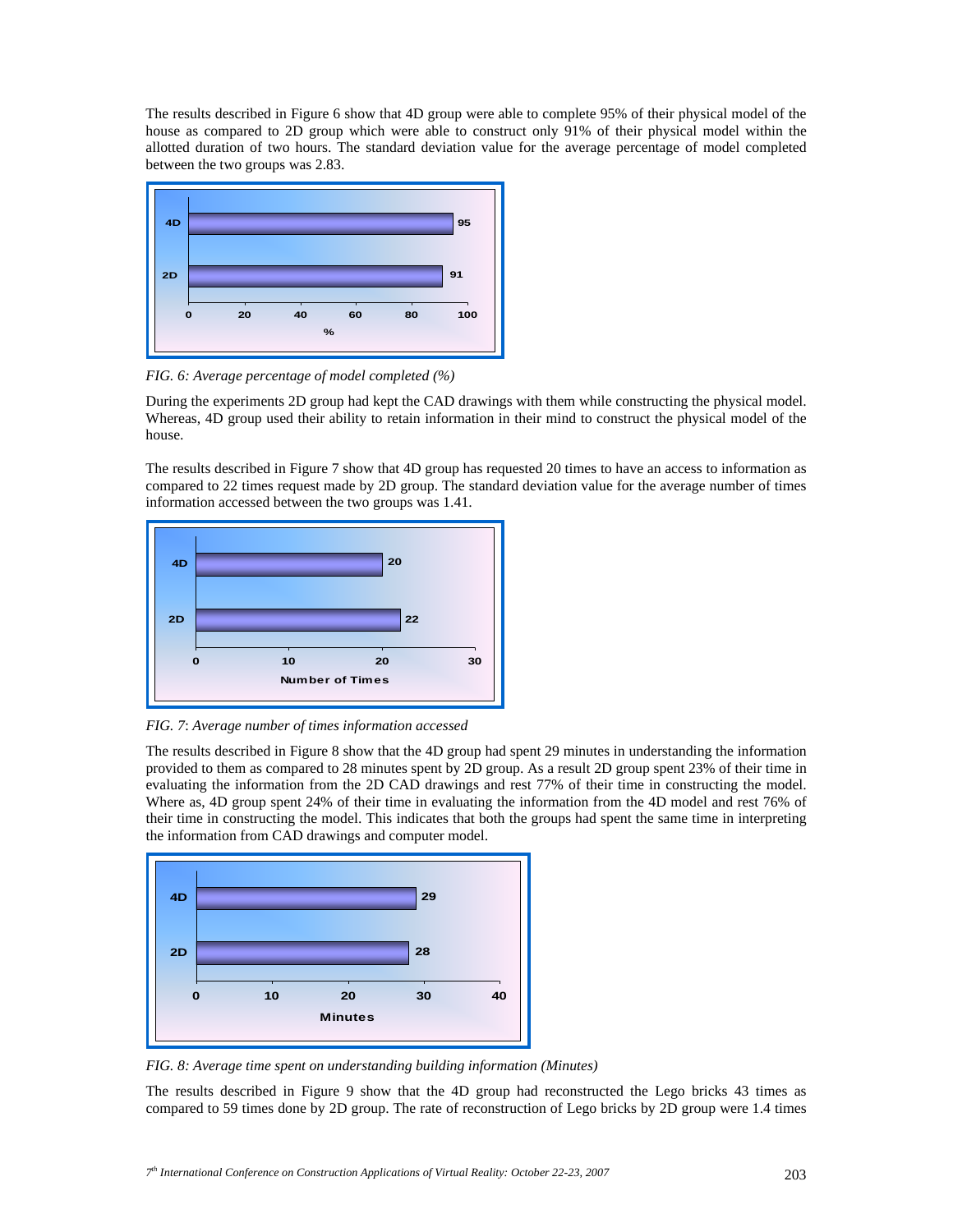The results described in Figure 6 show that 4D group were able to complete 95% of their physical model of the house as compared to 2D group which were able to construct only 91% of their physical model within the allotted duration of two hours. The standard deviation value for the average percentage of model completed between the two groups was 2.83.



*FIG. 6: Average percentage of model completed (%)* 

During the experiments 2D group had kept the CAD drawings with them while constructing the physical model. Whereas, 4D group used their ability to retain information in their mind to construct the physical model of the house.

The results described in Figure 7 show that 4D group has requested 20 times to have an access to information as compared to 22 times request made by 2D group. The standard deviation value for the average number of times information accessed between the two groups was 1.41.



*FIG. 7*: *Average number of times information accessed* 

The results described in Figure 8 show that the 4D group had spent 29 minutes in understanding the information provided to them as compared to 28 minutes spent by 2D group. As a result 2D group spent 23% of their time in evaluating the information from the 2D CAD drawings and rest 77% of their time in constructing the model. Where as, 4D group spent 24% of their time in evaluating the information from the 4D model and rest 76% of their time in constructing the model. This indicates that both the groups had spent the same time in interpreting the information from CAD drawings and computer model.



*FIG. 8: Average time spent on understanding building information (Minutes)* 

The results described in Figure 9 show that the 4D group had reconstructed the Lego bricks 43 times as compared to 59 times done by 2D group. The rate of reconstruction of Lego bricks by 2D group were 1.4 times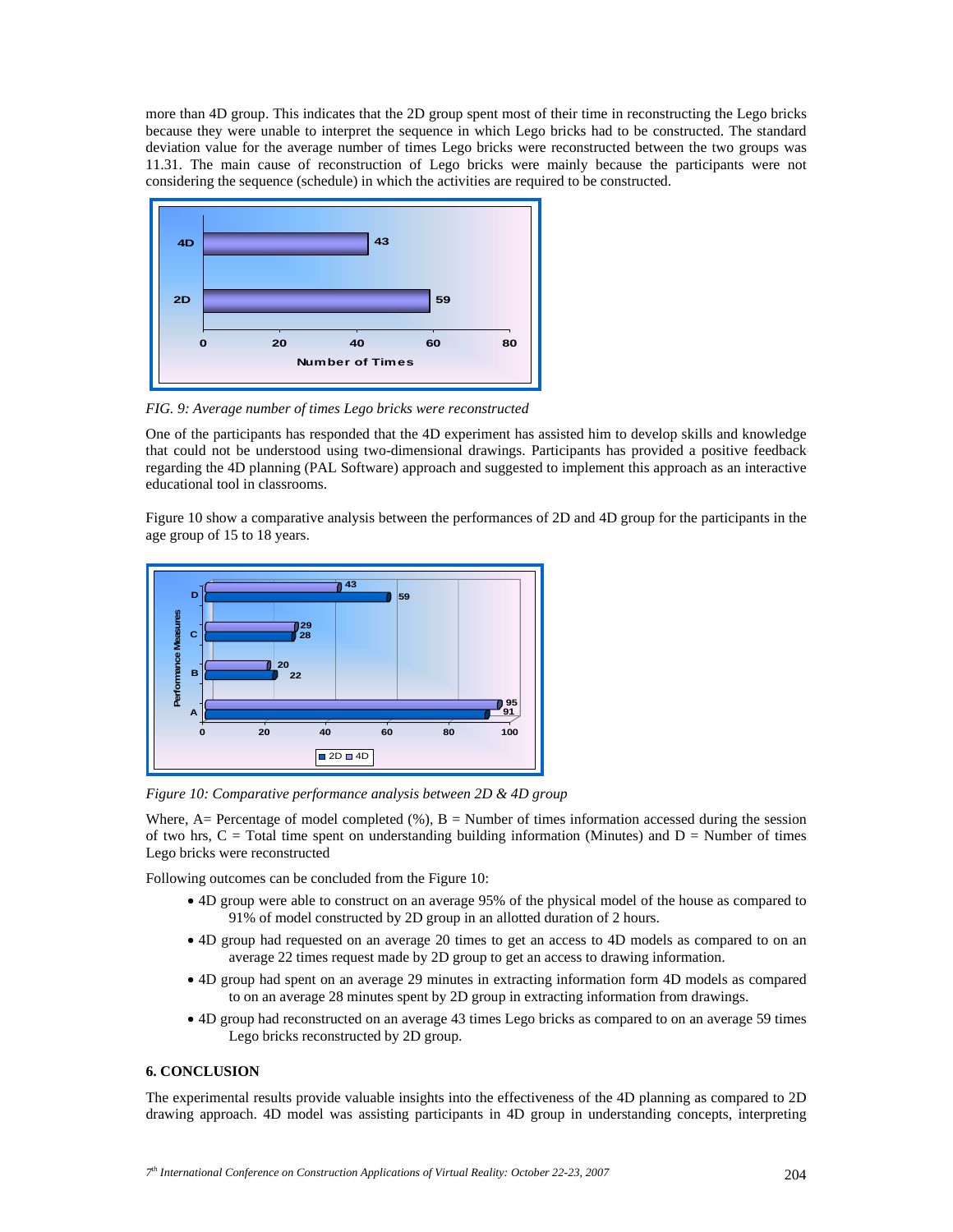more than 4D group. This indicates that the 2D group spent most of their time in reconstructing the Lego bricks because they were unable to interpret the sequence in which Lego bricks had to be constructed. The standard deviation value for the average number of times Lego bricks were reconstructed between the two groups was 11.31. The main cause of reconstruction of Lego bricks were mainly because the participants were not considering the sequence (schedule) in which the activities are required to be constructed.



*FIG. 9: Average number of times Lego bricks were reconstructed* 

One of the participants has responded that the 4D experiment has assisted him to develop skills and knowledge that could not be understood using two-dimensional drawings. Participants has provided a positive feedback regarding the 4D planning (PAL Software) approach and suggested to implement this approach as an interactive educational tool in classrooms.

Figure 10 show a comparative analysis between the performances of 2D and 4D group for the participants in the age group of 15 to 18 years.



*Figure 10: Comparative performance analysis between 2D & 4D group* 

Where, A= Percentage of model completed  $(\%)$ , B = Number of times information accessed during the session of two hrs,  $C = \text{Total time spent on understanding building information (Minutes) and } D = \text{Number of times}$ Lego bricks were reconstructed

Following outcomes can be concluded from the Figure 10:

- 4D group were able to construct on an average 95% of the physical model of the house as compared to 91% of model constructed by 2D group in an allotted duration of 2 hours.
- 4D group had requested on an average 20 times to get an access to 4D models as compared to on an average 22 times request made by 2D group to get an access to drawing information.
- 4D group had spent on an average 29 minutes in extracting information form 4D models as compared to on an average 28 minutes spent by 2D group in extracting information from drawings.
- 4D group had reconstructed on an average 43 times Lego bricks as compared to on an average 59 times Lego bricks reconstructed by 2D group.

# **6. CONCLUSION**

The experimental results provide valuable insights into the effectiveness of the 4D planning as compared to 2D drawing approach. 4D model was assisting participants in 4D group in understanding concepts, interpreting